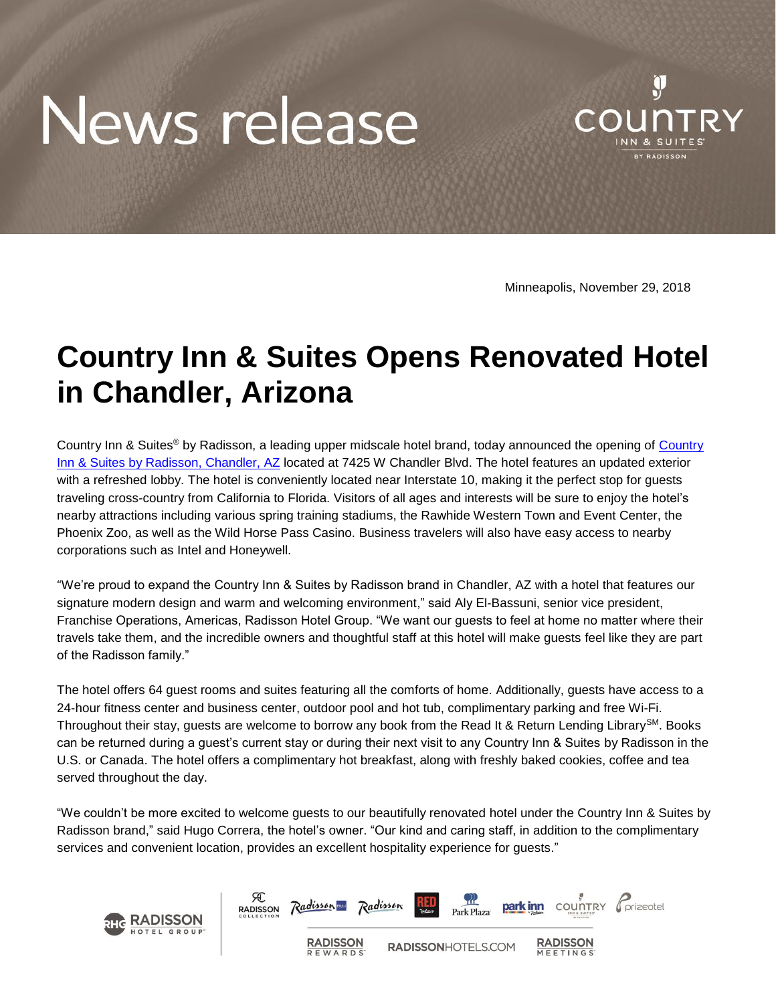# News release



Minneapolis, November 29, 2018

# **Country Inn & Suites Opens Renovated Hotel in Chandler, Arizona**

Country Inn & Suites<sup>®</sup> by Radisson, a leading upper midscale hotel brand, today announced the opening of Country [Inn & Suites by Radisson, Chandler, AZ](https://www.countryinns.com/chandler-hotel-az-85226/usacnaz) located at 7425 W Chandler Blvd. The hotel features an updated exterior with a refreshed lobby. The hotel is conveniently located near Interstate 10, making it the perfect stop for guests traveling cross-country from California to Florida. Visitors of all ages and interests will be sure to enjoy the hotel's nearby attractions including various spring training stadiums, the Rawhide Western Town and Event Center, the Phoenix Zoo, as well as the Wild Horse Pass Casino. Business travelers will also have easy access to nearby corporations such as Intel and Honeywell.

"We're proud to expand the Country Inn & Suites by Radisson brand in Chandler, AZ with a hotel that features our signature modern design and warm and welcoming environment," said Aly El-Bassuni, senior vice president, Franchise Operations, Americas, Radisson Hotel Group. "We want our guests to feel at home no matter where their travels take them, and the incredible owners and thoughtful staff at this hotel will make guests feel like they are part of the Radisson family."

The hotel offers 64 guest rooms and suites featuring all the comforts of home. Additionally, guests have access to a 24-hour fitness center and business center, outdoor pool and hot tub, complimentary parking and free Wi-Fi. Throughout their stay, guests are welcome to borrow any book from the Read It & Return Lending Library<sup>SM</sup>. Books can be returned during a guest's current stay or during their next visit to any Country Inn & Suites by Radisson in the U.S. or Canada. The hotel offers a complimentary hot breakfast, along with freshly baked cookies, coffee and tea served throughout the day.

"We couldn't be more excited to welcome guests to our beautifully renovated hotel under the Country Inn & Suites by Radisson brand," said Hugo Correra, the hotel's owner. "Our kind and caring staff, in addition to the complimentary services and convenient location, provides an excellent hospitality experience for guests."